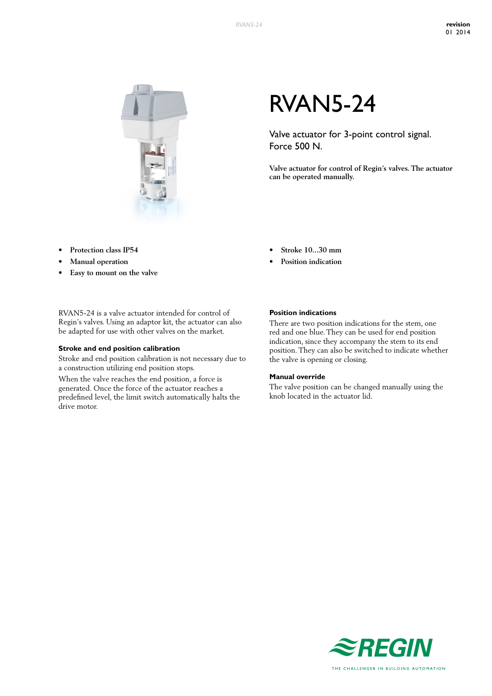

# RVAN5-24

Valve actuator for 3-point control signal. Force 500 N.

**Valve actuator for control of Regin's valves. The actuator can be operated manually.**

- **• Protection class IP54**
- **• Manual operation**
- **• Easy to mount on the valve**

RVAN5-24 is a valve actuator intended for control of Regin's valves. Using an adaptor kit, the actuator can also be adapted for use with other valves on the market.

### **Stroke and end position calibration**

Stroke and end position calibration is not necessary due to a construction utilizing end position stops.

When the valve reaches the end position, a force is generated. Once the force of the actuator reaches a predefined level, the limit switch automatically halts the drive motor.

- **• Stroke 10...30 mm**
- **Position indication**

#### **Position indications**

There are two position indications for the stem, one red and one blue. They can be used for end position indication, since they accompany the stem to its end position. They can also be switched to indicate whether the valve is opening or closing.

#### **Manual override**

The valve position can be changed manually using the knob located in the actuator lid.